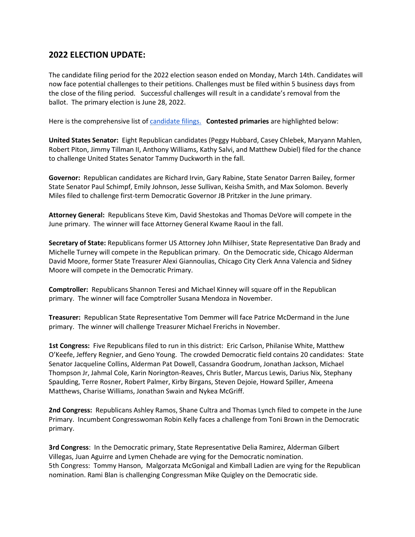## **2022 ELECTION UPDATE:**

The candidate filing period for the 2022 election season ended on Monday, March 14th. Candidates will now face potential challenges to their petitions. Challenges must be filed within 5 business days from the close of the filing period. Successful challenges will result in a candidate's removal from the ballot. The primary election is June 28, 2022.

Here is the comprehensive list of [candidate filings.](https://www.elections.il.gov/ElectionOperations/EOPDFViewer.aspx?ElectionID=63aIZoIunYs%3d&QueryType=xF443FTCAJbIL3atac%2fUjEg7Y4yklgT1&Status=rMeynix%2bw%2fddOUaQZByJnmYCrzL7OazExQ8jhaQ075iw5Zv5igNRaw%3d%3d&T=637829304422488622) **Contested primaries** are highlighted below:

**United States Senator:** Eight Republican candidates (Peggy Hubbard, Casey Chlebek, Maryann Mahlen, Robert Piton, Jimmy Tillman II, Anthony Williams, Kathy Salvi, and Matthew Dubiel) filed for the chance to challenge United States Senator Tammy Duckworth in the fall.

**Governor:** Republican candidates are Richard Irvin, Gary Rabine, State Senator Darren Bailey, former State Senator Paul Schimpf, Emily Johnson, Jesse Sullivan, Keisha Smith, and Max Solomon. Beverly Miles filed to challenge first-term Democratic Governor JB Pritzker in the June primary.

**Attorney General:** Republicans Steve Kim, David Shestokas and Thomas DeVore will compete in the June primary. The winner will face Attorney General Kwame Raoul in the fall.

**Secretary of State:** Republicans former US Attorney John Milhiser, State Representative Dan Brady and Michelle Turney will compete in the Republican primary. On the Democratic side, Chicago Alderman David Moore, former State Treasurer Alexi Giannoulias, Chicago City Clerk Anna Valencia and Sidney Moore will compete in the Democratic Primary.

**Comptroller:** Republicans Shannon Teresi and Michael Kinney will square off in the Republican primary. The winner will face Comptroller Susana Mendoza in November.

**Treasurer:** Republican State Representative Tom Demmer will face Patrice McDermand in the June primary. The winner will challenge Treasurer Michael Frerichs in November.

**1st Congress:** Five Republicans filed to run in this district: Eric Carlson, Philanise White, Matthew O'Keefe, Jeffery Regnier, and Geno Young. The crowded Democratic field contains 20 candidates: State Senator Jacqueline Collins, Alderman Pat Dowell, Cassandra Goodrum, Jonathan Jackson, Michael Thompson Jr, Jahmal Cole, Karin Norington-Reaves, Chris Butler, Marcus Lewis, Darius Nix, Stephany Spaulding, Terre Rosner, Robert Palmer, Kirby Birgans, Steven Dejoie, Howard Spiller, Ameena Matthews, Charise Williams, Jonathan Swain and Nykea McGriff.

**2nd Congress:** Republicans Ashley Ramos, Shane Cultra and Thomas Lynch filed to compete in the June Primary. Incumbent Congresswoman Robin Kelly faces a challenge from Toni Brown in the Democratic primary.

**3rd Congress**: In the Democratic primary, State Representative Delia Ramirez, Alderman Gilbert Villegas, Juan Aguirre and Lymen Chehade are vying for the Democratic nomination. 5th Congress: Tommy Hanson, Malgorzata McGonigal and Kimball Ladien are vying for the Republican nomination. Rami Blan is challenging Congressman Mike Quigley on the Democratic side.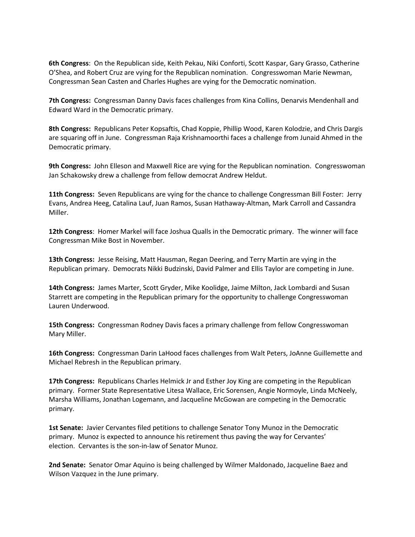**6th Congress**: On the Republican side, Keith Pekau, Niki Conforti, Scott Kaspar, Gary Grasso, Catherine O'Shea, and Robert Cruz are vying for the Republican nomination. Congresswoman Marie Newman, Congressman Sean Casten and Charles Hughes are vying for the Democratic nomination.

**7th Congress:** Congressman Danny Davis faces challenges from Kina Collins, Denarvis Mendenhall and Edward Ward in the Democratic primary.

**8th Congress:** Republicans Peter Kopsaftis, Chad Koppie, Phillip Wood, Karen Kolodzie, and Chris Dargis are squaring off in June. Congressman Raja Krishnamoorthi faces a challenge from Junaid Ahmed in the Democratic primary.

**9th Congress:** John Elleson and Maxwell Rice are vying for the Republican nomination. Congresswoman Jan Schakowsky drew a challenge from fellow democrat Andrew Heldut.

**11th Congress:** Seven Republicans are vying for the chance to challenge Congressman Bill Foster: Jerry Evans, Andrea Heeg, Catalina Lauf, Juan Ramos, Susan Hathaway-Altman, Mark Carroll and Cassandra Miller.

**12th Congress**: Homer Markel will face Joshua Qualls in the Democratic primary. The winner will face Congressman Mike Bost in November.

**13th Congress:** Jesse Reising, Matt Hausman, Regan Deering, and Terry Martin are vying in the Republican primary. Democrats Nikki Budzinski, David Palmer and Ellis Taylor are competing in June.

**14th Congress:** James Marter, Scott Gryder, Mike Koolidge, Jaime Milton, Jack Lombardi and Susan Starrett are competing in the Republican primary for the opportunity to challenge Congresswoman Lauren Underwood.

**15th Congress:** Congressman Rodney Davis faces a primary challenge from fellow Congresswoman Mary Miller.

**16th Congress:** Congressman Darin LaHood faces challenges from Walt Peters, JoAnne Guillemette and Michael Rebresh in the Republican primary.

**17th Congress:** Republicans Charles Helmick Jr and Esther Joy King are competing in the Republican primary. Former State Representative Litesa Wallace, Eric Sorensen, Angie Normoyle, Linda McNeely, Marsha Williams, Jonathan Logemann, and Jacqueline McGowan are competing in the Democratic primary.

**1st Senate:** Javier Cervantes filed petitions to challenge Senator Tony Munoz in the Democratic primary. Munoz is expected to announce his retirement thus paving the way for Cervantes' election. Cervantes is the son-in-law of Senator Munoz.

**2nd Senate:** Senator Omar Aquino is being challenged by Wilmer Maldonado, Jacqueline Baez and Wilson Vazquez in the June primary.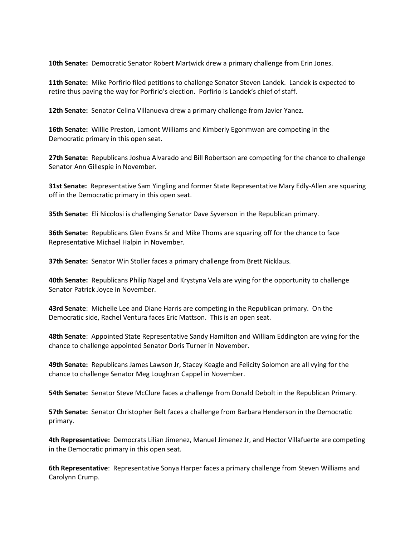**10th Senate:** Democratic Senator Robert Martwick drew a primary challenge from Erin Jones.

**11th Senate:** Mike Porfirio filed petitions to challenge Senator Steven Landek. Landek is expected to retire thus paving the way for Porfirio's election. Porfirio is Landek's chief of staff.

**12th Senate:** Senator Celina Villanueva drew a primary challenge from Javier Yanez.

**16th Senate:** Willie Preston, Lamont Williams and Kimberly Egonmwan are competing in the Democratic primary in this open seat.

**27th Senate:** Republicans Joshua Alvarado and Bill Robertson are competing for the chance to challenge Senator Ann Gillespie in November.

**31st Senate:** Representative Sam Yingling and former State Representative Mary Edly-Allen are squaring off in the Democratic primary in this open seat.

**35th Senate:** Eli Nicolosi is challenging Senator Dave Syverson in the Republican primary.

**36th Senate:** Republicans Glen Evans Sr and Mike Thoms are squaring off for the chance to face Representative Michael Halpin in November.

**37th Senate:** Senator Win Stoller faces a primary challenge from Brett Nicklaus.

**40th Senate:** Republicans Philip Nagel and Krystyna Vela are vying for the opportunity to challenge Senator Patrick Joyce in November.

**43rd Senate**: Michelle Lee and Diane Harris are competing in the Republican primary. On the Democratic side, Rachel Ventura faces Eric Mattson. This is an open seat.

**48th Senate**: Appointed State Representative Sandy Hamilton and William Eddington are vying for the chance to challenge appointed Senator Doris Turner in November.

**49th Senate:** Republicans James Lawson Jr, Stacey Keagle and Felicity Solomon are all vying for the chance to challenge Senator Meg Loughran Cappel in November.

**54th Senate:** Senator Steve McClure faces a challenge from Donald Debolt in the Republican Primary.

**57th Senate:** Senator Christopher Belt faces a challenge from Barbara Henderson in the Democratic primary.

**4th Representative:** Democrats Lilian Jimenez, Manuel Jimenez Jr, and Hector Villafuerte are competing in the Democratic primary in this open seat.

**6th Representative**: Representative Sonya Harper faces a primary challenge from Steven Williams and Carolynn Crump.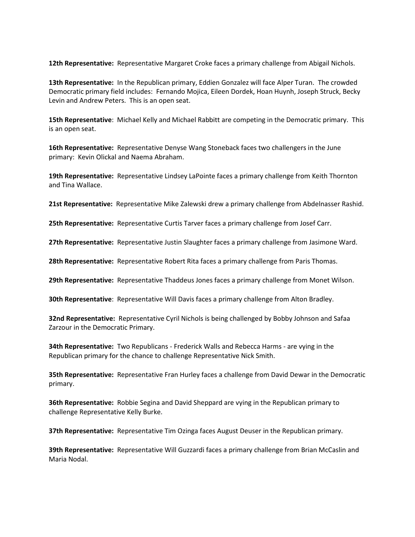**12th Representative:** Representative Margaret Croke faces a primary challenge from Abigail Nichols.

**13th Representative:** In the Republican primary, Eddien Gonzalez will face Alper Turan. The crowded Democratic primary field includes: Fernando Mojica, Eileen Dordek, Hoan Huynh, Joseph Struck, Becky Levin and Andrew Peters. This is an open seat.

**15th Representative**: Michael Kelly and Michael Rabbitt are competing in the Democratic primary. This is an open seat.

**16th Representative:** Representative Denyse Wang Stoneback faces two challengers in the June primary: Kevin Olickal and Naema Abraham.

**19th Representative:** Representative Lindsey LaPointe faces a primary challenge from Keith Thornton and Tina Wallace.

**21st Representative:** Representative Mike Zalewski drew a primary challenge from Abdelnasser Rashid.

**25th Representative:** Representative Curtis Tarver faces a primary challenge from Josef Carr.

**27th Representative:** Representative Justin Slaughter faces a primary challenge from Jasimone Ward.

**28th Representative:** Representative Robert Rita faces a primary challenge from Paris Thomas.

**29th Representative:** Representative Thaddeus Jones faces a primary challenge from Monet Wilson.

**30th Representative**: Representative Will Davis faces a primary challenge from Alton Bradley.

**32nd Representative:** Representative Cyril Nichols is being challenged by Bobby Johnson and Safaa Zarzour in the Democratic Primary.

**34th Representative:** Two Republicans - Frederick Walls and Rebecca Harms - are vying in the Republican primary for the chance to challenge Representative Nick Smith.

**35th Representative:** Representative Fran Hurley faces a challenge from David Dewar in the Democratic primary.

**36th Representative:** Robbie Segina and David Sheppard are vying in the Republican primary to challenge Representative Kelly Burke.

**37th Representative:** Representative Tim Ozinga faces August Deuser in the Republican primary.

**39th Representative:** Representative Will Guzzardi faces a primary challenge from Brian McCaslin and Maria Nodal.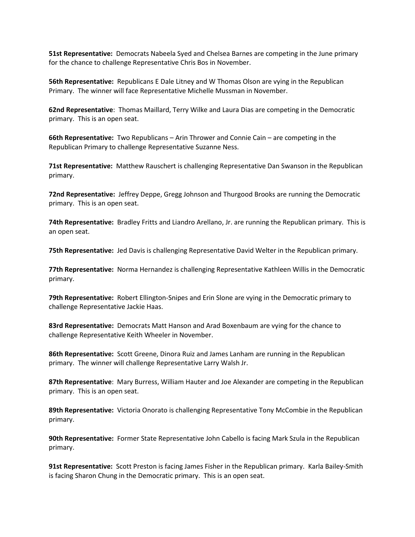**51st Representative:** Democrats Nabeela Syed and Chelsea Barnes are competing in the June primary for the chance to challenge Representative Chris Bos in November.

**56th Representative:** Republicans E Dale Litney and W Thomas Olson are vying in the Republican Primary. The winner will face Representative Michelle Mussman in November.

**62nd Representative**: Thomas Maillard, Terry Wilke and Laura Dias are competing in the Democratic primary. This is an open seat.

**66th Representative:** Two Republicans – Arin Thrower and Connie Cain – are competing in the Republican Primary to challenge Representative Suzanne Ness.

**71st Representative:** Matthew Rauschert is challenging Representative Dan Swanson in the Republican primary.

**72nd Representative:** Jeffrey Deppe, Gregg Johnson and Thurgood Brooks are running the Democratic primary. This is an open seat.

**74th Representative:** Bradley Fritts and Liandro Arellano, Jr. are running the Republican primary. This is an open seat.

**75th Representative:** Jed Davis is challenging Representative David Welter in the Republican primary.

**77th Representative:** Norma Hernandez is challenging Representative Kathleen Willis in the Democratic primary.

**79th Representative:** Robert Ellington-Snipes and Erin Slone are vying in the Democratic primary to challenge Representative Jackie Haas.

**83rd Representative:** Democrats Matt Hanson and Arad Boxenbaum are vying for the chance to challenge Representative Keith Wheeler in November.

**86th Representative:** Scott Greene, Dinora Ruiz and James Lanham are running in the Republican primary. The winner will challenge Representative Larry Walsh Jr.

**87th Representative**: Mary Burress, William Hauter and Joe Alexander are competing in the Republican primary. This is an open seat.

**89th Representative:** Victoria Onorato is challenging Representative Tony McCombie in the Republican primary.

**90th Representative:** Former State Representative John Cabello is facing Mark Szula in the Republican primary.

**91st Representative:** Scott Preston is facing James Fisher in the Republican primary. Karla Bailey-Smith is facing Sharon Chung in the Democratic primary. This is an open seat.